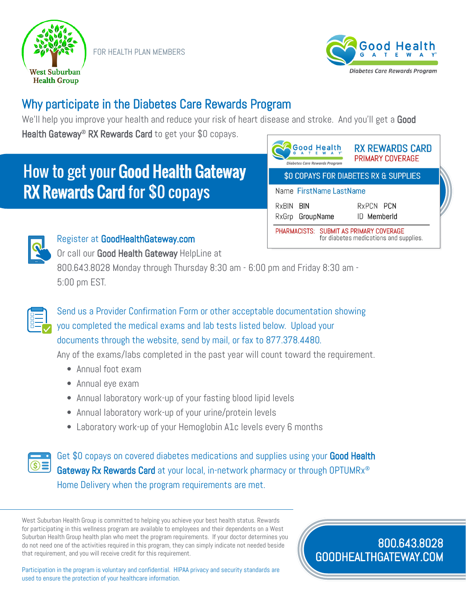

FOR HEALTH PLAN MEMBERS



## Why participate in the Diabetes Care Rewards Program

We'll help you improve your health and reduce your risk of heart disease and stroke. And you'll get a Good Health Gateway<sup>®</sup> RX Rewards Card to get your \$0 copays.

## How to get your Good Health Gateway RX Rewards Card for \$0 copays

| <b>Good Health</b><br><b>Diabetes Care Rewards Program</b>                        | <b>RX REWARDS CARD</b><br>PRIMARY COVERAGE |  |
|-----------------------------------------------------------------------------------|--------------------------------------------|--|
| \$0 COPAYS FOR DIABETES RX & SUPPLIES                                             |                                            |  |
| Name FirstName LastName                                                           |                                            |  |
| RxBIN BIN<br>RxGrp GroupName                                                      | RxPCN PCN<br>ID MemberId                   |  |
| PHARMACISTS: SUBMIT AS PRIMARY COVERAGE<br>for diabetes medications and supplies. |                                            |  |



## Register at GoodHealthGateway.com

Or call our Good Health Gateway HelpLine at 800.643.8028 Monday through Thursday 8:30 am - 6:00 pm and Friday 8:30 am - 5:00 pm EST.



Send us a Provider Confirmation Form or other acceptable documentation showing you completed the medical exams and lab tests listed below. Upload your documents through the website, send by mail, or fax to 877.378.4480.

Any of the exams/labs completed in the past year will count toward the requirement.

- Annual foot exam
- Annual eye exam
- Annual laboratory work-up of your fasting blood lipid levels
- Annual laboratory work-up of your urine/protein levels
- Laboratory work-up of your Hemoglobin A1c levels every 6 months



Get \$0 copays on covered diabetes medications and supplies using your Good Health Gateway Rx Rewards Card at your local, in-network pharmacy or through OPTUMRx<sup>®</sup> Home Delivery when the program requirements are met.

West Suburban Health Group is committed to helping you achieve your best health status. Rewards for participating in this wellness program are available to employees and their dependents on a West Suburban Health Group health plan who meet the program requirements. If your doctor determines you do not need one of the activities required in this program, they can simply indicate not needed beside that requirement, and you will receive credit for this requirement.

Participation in the program is voluntary and confidential. HIPAA privacy and security standards are used to ensure the protection of your healthcare information.

800.643.8028 GOODHEALTHGATEWAY.COM